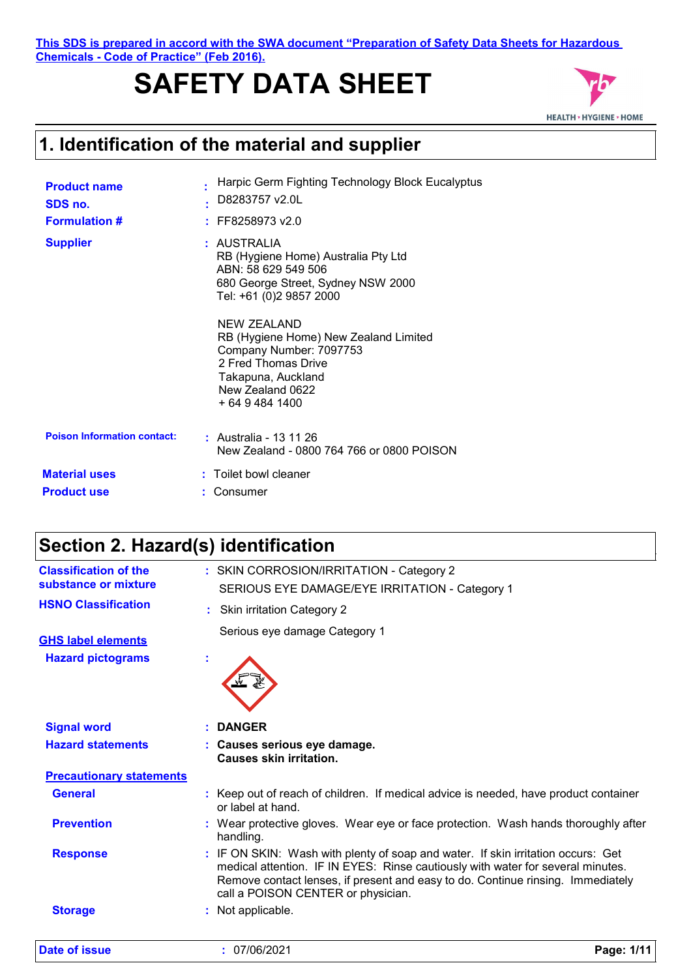**This SDS is prepared in accord with the SWA document "Preparation of Safety Data Sheets for Hazardous Chemicals - Code of Practice" (Feb 2016).**

# **SAFETY DATA SHEET**



### **1. Identification of the material and supplier**

| <b>Product name</b><br>SDS no.<br><b>Formulation #</b> | Harpic Germ Fighting Technology Block Eucalyptus<br>D8283757 v2.0L<br>FF8258973 v2.0                                                                                |
|--------------------------------------------------------|---------------------------------------------------------------------------------------------------------------------------------------------------------------------|
| <b>Supplier</b>                                        | : AUSTRALIA<br>RB (Hygiene Home) Australia Pty Ltd<br>ABN: 58 629 549 506<br>680 George Street, Sydney NSW 2000<br>Tel: +61 (0)2 9857 2000                          |
|                                                        | NEW ZEALAND<br>RB (Hygiene Home) New Zealand Limited<br>Company Number: 7097753<br>2 Fred Thomas Drive<br>Takapuna, Auckland<br>New Zealand 0622<br>+ 64 9 484 1400 |
| <b>Poison Information contact:</b>                     | : Australia - 13 11 26<br>New Zealand - 0800 764 766 or 0800 POISON                                                                                                 |
| <b>Material uses</b><br><b>Product use</b>             | : Toilet bowl cleaner<br>Consumer                                                                                                                                   |

### **Section 2. Hazard(s) identification**

| <b>Classification of the</b><br>substance or mixture | : SKIN CORROSION/IRRITATION - Category 2<br>SERIOUS EYE DAMAGE/EYE IRRITATION - Category 1                                                                                                                                                                                                   |            |
|------------------------------------------------------|----------------------------------------------------------------------------------------------------------------------------------------------------------------------------------------------------------------------------------------------------------------------------------------------|------------|
| <b>HSNO Classification</b>                           | <b>Skin irritation Category 2</b><br>÷.                                                                                                                                                                                                                                                      |            |
| <b>GHS label elements</b>                            | Serious eye damage Category 1                                                                                                                                                                                                                                                                |            |
| <b>Hazard pictograms</b>                             |                                                                                                                                                                                                                                                                                              |            |
| <b>Signal word</b>                                   | : DANGER                                                                                                                                                                                                                                                                                     |            |
| <b>Hazard statements</b>                             | : Causes serious eye damage.<br>Causes skin irritation.                                                                                                                                                                                                                                      |            |
| <b>Precautionary statements</b>                      |                                                                                                                                                                                                                                                                                              |            |
| <b>General</b>                                       | : Keep out of reach of children. If medical advice is needed, have product container<br>or label at hand.                                                                                                                                                                                    |            |
| <b>Prevention</b>                                    | : Wear protective gloves. Wear eye or face protection. Wash hands thoroughly after<br>handling.                                                                                                                                                                                              |            |
| <b>Response</b>                                      | : IF ON SKIN: Wash with plenty of soap and water. If skin irritation occurs: Get<br>medical attention. IF IN EYES: Rinse cautiously with water for several minutes.<br>Remove contact lenses, if present and easy to do. Continue rinsing. Immediately<br>call a POISON CENTER or physician. |            |
| <b>Storage</b>                                       | : Not applicable.                                                                                                                                                                                                                                                                            |            |
| <b>Date of issue</b>                                 | : 07/06/2021                                                                                                                                                                                                                                                                                 | Page: 1/11 |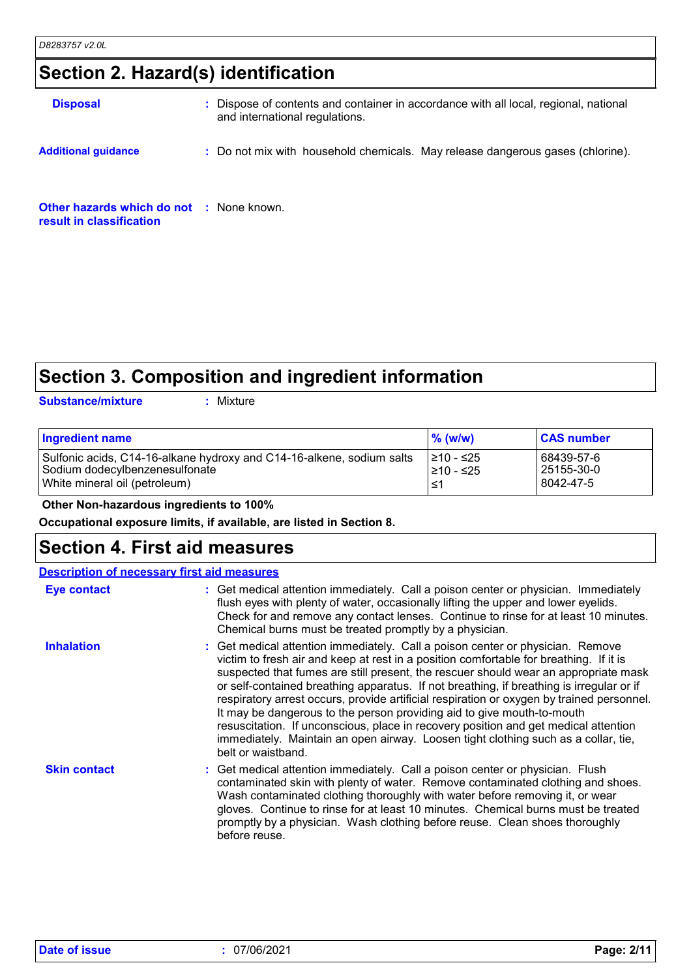### **Section 2. Hazard(s) identification**

| <b>Disposal</b>                                                             | : Dispose of contents and container in accordance with all local, regional, national<br>and international regulations. |
|-----------------------------------------------------------------------------|------------------------------------------------------------------------------------------------------------------------|
| <b>Additional quidance</b>                                                  | : Do not mix with household chemicals. May release dangerous gases (chlorine).                                         |
| <b>Other hazards which do not : None known.</b><br>result in classification |                                                                                                                        |

### **Section 3. Composition and ingredient information**

**Substance/mixture :**

: Mixture

| <b>Ingredient name</b>                                                | $\%$ (w/w) | <b>CAS number</b> |
|-----------------------------------------------------------------------|------------|-------------------|
| Sulfonic acids, C14-16-alkane hydroxy and C14-16-alkene, sodium salts | I≥10 - ≤25 | 68439-57-6        |
| Sodium dodecylbenzenesulfonate                                        | l≥10 - ≤25 | 25155-30-0        |
| White mineral oil (petroleum)                                         | ≤1         | 8042-47-5         |

 **Other Non-hazardous ingredients to 100%**

**Occupational exposure limits, if available, are listed in Section 8.**

### **Section 4. First aid measures**

| <b>Description of necessary first aid measures</b> |                                                                                                                                                                                                                                                                                                                                                                                                                                                                                                                                                                                                                                                                                                                                       |
|----------------------------------------------------|---------------------------------------------------------------------------------------------------------------------------------------------------------------------------------------------------------------------------------------------------------------------------------------------------------------------------------------------------------------------------------------------------------------------------------------------------------------------------------------------------------------------------------------------------------------------------------------------------------------------------------------------------------------------------------------------------------------------------------------|
| <b>Eye contact</b>                                 | : Get medical attention immediately. Call a poison center or physician. Immediately<br>flush eyes with plenty of water, occasionally lifting the upper and lower eyelids.<br>Check for and remove any contact lenses. Continue to rinse for at least 10 minutes.<br>Chemical burns must be treated promptly by a physician.                                                                                                                                                                                                                                                                                                                                                                                                           |
| <b>Inhalation</b>                                  | : Get medical attention immediately. Call a poison center or physician. Remove<br>victim to fresh air and keep at rest in a position comfortable for breathing. If it is<br>suspected that fumes are still present, the rescuer should wear an appropriate mask<br>or self-contained breathing apparatus. If not breathing, if breathing is irregular or if<br>respiratory arrest occurs, provide artificial respiration or oxygen by trained personnel.<br>It may be dangerous to the person providing aid to give mouth-to-mouth<br>resuscitation. If unconscious, place in recovery position and get medical attention<br>immediately. Maintain an open airway. Loosen tight clothing such as a collar, tie,<br>belt or waistband. |
| <b>Skin contact</b>                                | : Get medical attention immediately. Call a poison center or physician. Flush<br>contaminated skin with plenty of water. Remove contaminated clothing and shoes.<br>Wash contaminated clothing thoroughly with water before removing it, or wear<br>gloves. Continue to rinse for at least 10 minutes. Chemical burns must be treated<br>promptly by a physician. Wash clothing before reuse. Clean shoes thoroughly<br>before reuse.                                                                                                                                                                                                                                                                                                 |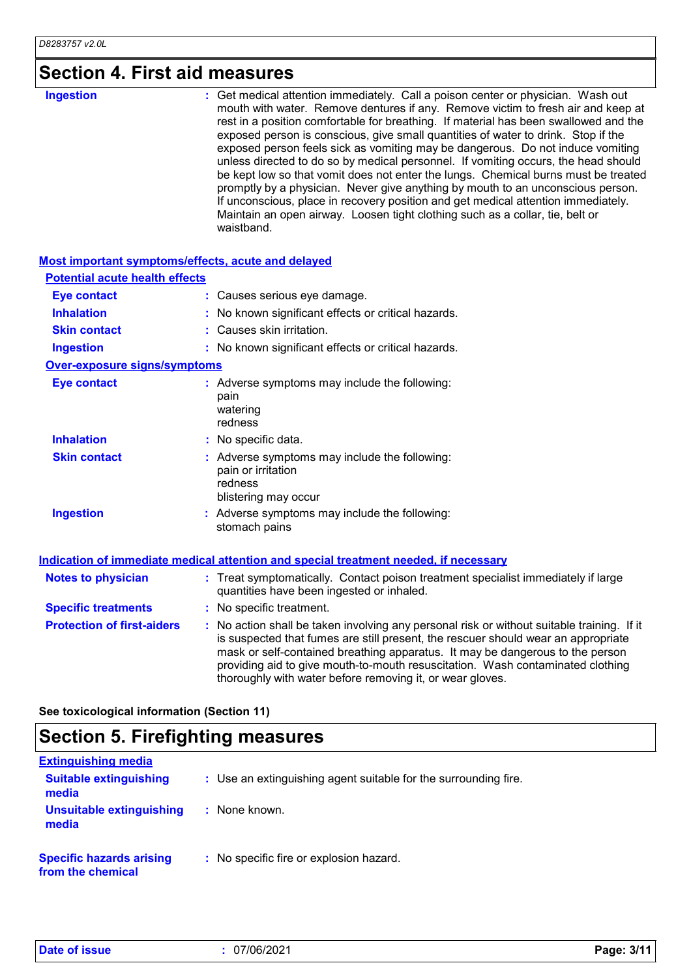# **Section 4. First aid measures**

| mouth with water. Remove dentures if any. Remove victim to fresh air and keep at<br>rest in a position comfortable for breathing. If material has been swallowed and the<br>exposed person is conscious, give small quantities of water to drink. Stop if the                                                                                                                                                                                   |                  |                                                                                                                                                                    |
|-------------------------------------------------------------------------------------------------------------------------------------------------------------------------------------------------------------------------------------------------------------------------------------------------------------------------------------------------------------------------------------------------------------------------------------------------|------------------|--------------------------------------------------------------------------------------------------------------------------------------------------------------------|
| unless directed to do so by medical personnel. If vomiting occurs, the head should<br>be kept low so that vomit does not enter the lungs. Chemical burns must be treated<br>promptly by a physician. Never give anything by mouth to an unconscious person.<br>If unconscious, place in recovery position and get medical attention immediately.<br>Maintain an open airway. Loosen tight clothing such as a collar, tie, belt or<br>waistband. | <b>Ingestion</b> | : Get medical attention immediately. Call a poison center or physician. Wash out<br>exposed person feels sick as vomiting may be dangerous. Do not induce vomiting |

### **Most important symptoms/effects, acute and delayed**

| <b>Potential acute health effects</b> |                                                                                                                                                                                                                                                                                                                                                                                                                 |
|---------------------------------------|-----------------------------------------------------------------------------------------------------------------------------------------------------------------------------------------------------------------------------------------------------------------------------------------------------------------------------------------------------------------------------------------------------------------|
| <b>Eye contact</b>                    | : Causes serious eye damage.                                                                                                                                                                                                                                                                                                                                                                                    |
| <b>Inhalation</b>                     | : No known significant effects or critical hazards.                                                                                                                                                                                                                                                                                                                                                             |
| <b>Skin contact</b>                   | : Causes skin irritation.                                                                                                                                                                                                                                                                                                                                                                                       |
| <b>Ingestion</b>                      | : No known significant effects or critical hazards.                                                                                                                                                                                                                                                                                                                                                             |
| <b>Over-exposure signs/symptoms</b>   |                                                                                                                                                                                                                                                                                                                                                                                                                 |
| <b>Eye contact</b>                    | : Adverse symptoms may include the following:<br>pain<br>watering<br>redness                                                                                                                                                                                                                                                                                                                                    |
| <b>Inhalation</b>                     | : No specific data.                                                                                                                                                                                                                                                                                                                                                                                             |
| <b>Skin contact</b>                   | : Adverse symptoms may include the following:<br>pain or irritation<br>redness<br>blistering may occur                                                                                                                                                                                                                                                                                                          |
| <b>Ingestion</b>                      | : Adverse symptoms may include the following:<br>stomach pains                                                                                                                                                                                                                                                                                                                                                  |
|                                       | Indication of immediate medical attention and special treatment needed, if necessary                                                                                                                                                                                                                                                                                                                            |
| <b>Notes to physician</b>             | : Treat symptomatically. Contact poison treatment specialist immediately if large<br>quantities have been ingested or inhaled.                                                                                                                                                                                                                                                                                  |
| <b>Specific treatments</b>            | : No specific treatment.                                                                                                                                                                                                                                                                                                                                                                                        |
| <b>Protection of first-aiders</b>     | : No action shall be taken involving any personal risk or without suitable training. If it<br>is suspected that fumes are still present, the rescuer should wear an appropriate<br>mask or self-contained breathing apparatus. It may be dangerous to the person<br>providing aid to give mouth-to-mouth resuscitation. Wash contaminated clothing<br>thoroughly with water before removing it, or wear gloves. |

**See toxicological information (Section 11)**

# **Section 5. Firefighting measures**

| <b>Extinguishing media</b>                           |                                                                 |
|------------------------------------------------------|-----------------------------------------------------------------|
| <b>Suitable extinguishing</b><br>media               | : Use an extinguishing agent suitable for the surrounding fire. |
| Unsuitable extinguishing<br>media                    | : None known.                                                   |
| <b>Specific hazards arising</b><br>from the chemical | : No specific fire or explosion hazard.                         |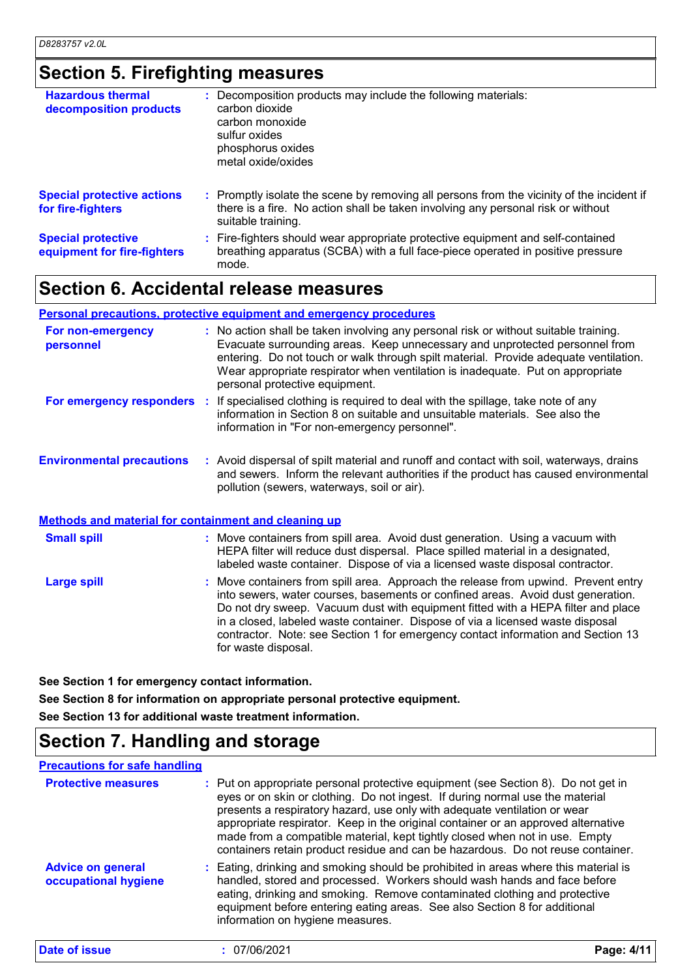# **Section 5. Firefighting measures**

| <b>Hazardous thermal</b><br>decomposition products       | : Decomposition products may include the following materials:<br>carbon dioxide<br>carbon monoxide<br>sulfur oxides<br>phosphorus oxides<br>metal oxide/oxides                                      |
|----------------------------------------------------------|-----------------------------------------------------------------------------------------------------------------------------------------------------------------------------------------------------|
| <b>Special protective actions</b><br>for fire-fighters   | : Promptly isolate the scene by removing all persons from the vicinity of the incident if<br>there is a fire. No action shall be taken involving any personal risk or without<br>suitable training. |
| <b>Special protective</b><br>equipment for fire-fighters | : Fire-fighters should wear appropriate protective equipment and self-contained<br>breathing apparatus (SCBA) with a full face-piece operated in positive pressure<br>mode.                         |

### **Section 6. Accidental release measures**

### **Personal precautions, protective equipment and emergency procedures**

| For non-emergency<br>personnel                              | : No action shall be taken involving any personal risk or without suitable training.<br>Evacuate surrounding areas. Keep unnecessary and unprotected personnel from<br>entering. Do not touch or walk through spilt material. Provide adequate ventilation.<br>Wear appropriate respirator when ventilation is inadequate. Put on appropriate<br>personal protective equipment. |  |
|-------------------------------------------------------------|---------------------------------------------------------------------------------------------------------------------------------------------------------------------------------------------------------------------------------------------------------------------------------------------------------------------------------------------------------------------------------|--|
| For emergency responders                                    | : If specialised clothing is required to deal with the spillage, take note of any<br>information in Section 8 on suitable and unsuitable materials. See also the<br>information in "For non-emergency personnel".                                                                                                                                                               |  |
| <b>Environmental precautions</b>                            | : Avoid dispersal of spilt material and runoff and contact with soil, waterways, drains<br>and sewers. Inform the relevant authorities if the product has caused environmental<br>pollution (sewers, waterways, soil or air).                                                                                                                                                   |  |
| <b>Methods and material for containment and cleaning up</b> |                                                                                                                                                                                                                                                                                                                                                                                 |  |
| <b>Small spill</b>                                          | : Move containers from spill area. Avoid dust generation. Using a vacuum with<br>HEPA filter will reduce dust dispersal. Place spilled material in a designated,<br>labeled waste container. Dispose of via a licensed waste disposal contractor.                                                                                                                               |  |

| Large spill | : Move containers from spill area. Approach the release from upwind. Prevent entry<br>into sewers, water courses, basements or confined areas. Avoid dust generation.<br>Do not dry sweep. Vacuum dust with equipment fitted with a HEPA filter and place<br>in a closed, labeled waste container. Dispose of via a licensed waste disposal<br>contractor. Note: see Section 1 for emergency contact information and Section 13<br>for waste disposal. |
|-------------|--------------------------------------------------------------------------------------------------------------------------------------------------------------------------------------------------------------------------------------------------------------------------------------------------------------------------------------------------------------------------------------------------------------------------------------------------------|
|-------------|--------------------------------------------------------------------------------------------------------------------------------------------------------------------------------------------------------------------------------------------------------------------------------------------------------------------------------------------------------------------------------------------------------------------------------------------------------|

**See Section 1 for emergency contact information.**

**See Section 8 for information on appropriate personal protective equipment.**

**See Section 13 for additional waste treatment information.**

### **Section 7. Handling and storage**

#### **Precautions for safe handling**

| <b>Protective measures</b>                       | : Put on appropriate personal protective equipment (see Section 8). Do not get in<br>eyes or on skin or clothing. Do not ingest. If during normal use the material<br>presents a respiratory hazard, use only with adequate ventilation or wear<br>appropriate respirator. Keep in the original container or an approved alternative<br>made from a compatible material, kept tightly closed when not in use. Empty<br>containers retain product residue and can be hazardous. Do not reuse container. |            |
|--------------------------------------------------|--------------------------------------------------------------------------------------------------------------------------------------------------------------------------------------------------------------------------------------------------------------------------------------------------------------------------------------------------------------------------------------------------------------------------------------------------------------------------------------------------------|------------|
| <b>Advice on general</b><br>occupational hygiene | : Eating, drinking and smoking should be prohibited in areas where this material is<br>handled, stored and processed. Workers should wash hands and face before<br>eating, drinking and smoking. Remove contaminated clothing and protective<br>equipment before entering eating areas. See also Section 8 for additional<br>information on hygiene measures.                                                                                                                                          |            |
| Date of issue                                    | : 07/06/2021                                                                                                                                                                                                                                                                                                                                                                                                                                                                                           | Page: 4/11 |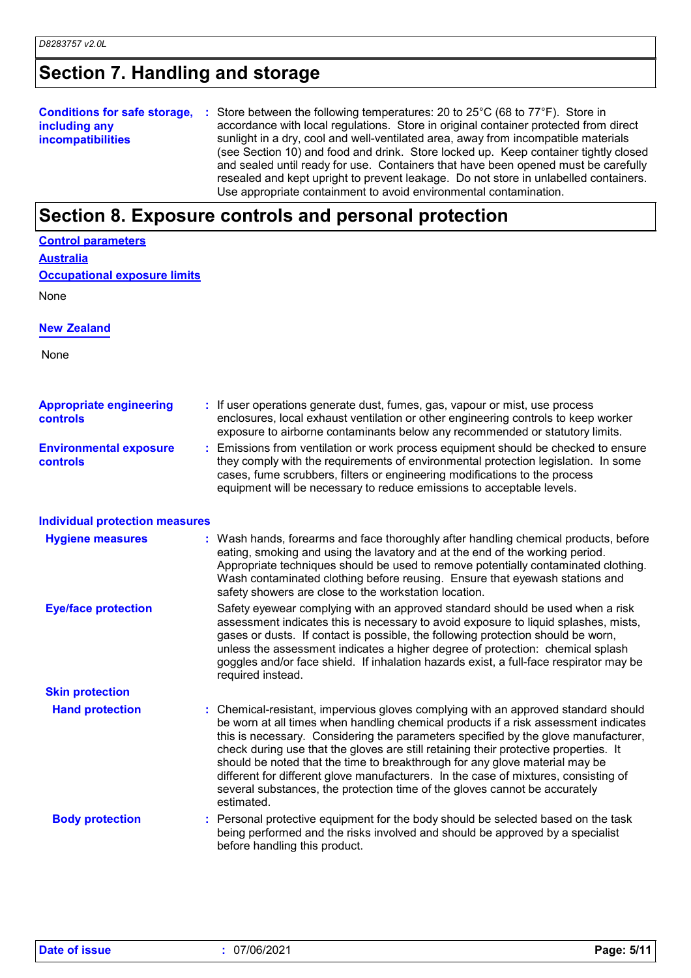# **Section 7. Handling and storage**

|                          | <b>Conditions for safe storage, :</b> Store between the following temperatures: 20 to 25°C (68 to 77°F). Store in |
|--------------------------|-------------------------------------------------------------------------------------------------------------------|
| including any            | accordance with local regulations. Store in original container protected from direct                              |
| <b>incompatibilities</b> | sunlight in a dry, cool and well-ventilated area, away from incompatible materials                                |
|                          | (see Section 10) and food and drink. Store locked up. Keep container tightly closed                               |
|                          | and sealed until ready for use. Containers that have been opened must be carefully                                |
|                          | resealed and kept upright to prevent leakage. Do not store in unlabelled containers.                              |
|                          | Use appropriate containment to avoid environmental contamination.                                                 |

# **Section 8. Exposure controls and personal protection**

| <b>Control parameters</b>                  |                                                                                                                                                                                                                                                                                                                                                                                                                                                                                                                                                                                                                           |
|--------------------------------------------|---------------------------------------------------------------------------------------------------------------------------------------------------------------------------------------------------------------------------------------------------------------------------------------------------------------------------------------------------------------------------------------------------------------------------------------------------------------------------------------------------------------------------------------------------------------------------------------------------------------------------|
| <u>Australia</u>                           |                                                                                                                                                                                                                                                                                                                                                                                                                                                                                                                                                                                                                           |
| <b>Occupational exposure limits</b>        |                                                                                                                                                                                                                                                                                                                                                                                                                                                                                                                                                                                                                           |
| None                                       |                                                                                                                                                                                                                                                                                                                                                                                                                                                                                                                                                                                                                           |
| <b>New Zealand</b>                         |                                                                                                                                                                                                                                                                                                                                                                                                                                                                                                                                                                                                                           |
| None                                       |                                                                                                                                                                                                                                                                                                                                                                                                                                                                                                                                                                                                                           |
| <b>Appropriate engineering</b><br>controls | : If user operations generate dust, fumes, gas, vapour or mist, use process<br>enclosures, local exhaust ventilation or other engineering controls to keep worker<br>exposure to airborne contaminants below any recommended or statutory limits.                                                                                                                                                                                                                                                                                                                                                                         |
| <b>Environmental exposure</b><br>controls  | Emissions from ventilation or work process equipment should be checked to ensure<br>they comply with the requirements of environmental protection legislation. In some<br>cases, fume scrubbers, filters or engineering modifications to the process<br>equipment will be necessary to reduce emissions to acceptable levels.                                                                                                                                                                                                                                                                                             |
| <b>Individual protection measures</b>      |                                                                                                                                                                                                                                                                                                                                                                                                                                                                                                                                                                                                                           |
| <b>Hygiene measures</b>                    | : Wash hands, forearms and face thoroughly after handling chemical products, before<br>eating, smoking and using the lavatory and at the end of the working period.<br>Appropriate techniques should be used to remove potentially contaminated clothing.<br>Wash contaminated clothing before reusing. Ensure that eyewash stations and<br>safety showers are close to the workstation location.                                                                                                                                                                                                                         |
| <b>Eye/face protection</b>                 | Safety eyewear complying with an approved standard should be used when a risk<br>assessment indicates this is necessary to avoid exposure to liquid splashes, mists,<br>gases or dusts. If contact is possible, the following protection should be worn,<br>unless the assessment indicates a higher degree of protection: chemical splash<br>goggles and/or face shield. If inhalation hazards exist, a full-face respirator may be<br>required instead.                                                                                                                                                                 |
| <b>Skin protection</b>                     |                                                                                                                                                                                                                                                                                                                                                                                                                                                                                                                                                                                                                           |
| <b>Hand protection</b>                     | : Chemical-resistant, impervious gloves complying with an approved standard should<br>be worn at all times when handling chemical products if a risk assessment indicates<br>this is necessary. Considering the parameters specified by the glove manufacturer,<br>check during use that the gloves are still retaining their protective properties. It<br>should be noted that the time to breakthrough for any glove material may be<br>different for different glove manufacturers. In the case of mixtures, consisting of<br>several substances, the protection time of the gloves cannot be accurately<br>estimated. |
| <b>Body protection</b>                     | : Personal protective equipment for the body should be selected based on the task<br>being performed and the risks involved and should be approved by a specialist<br>before handling this product.                                                                                                                                                                                                                                                                                                                                                                                                                       |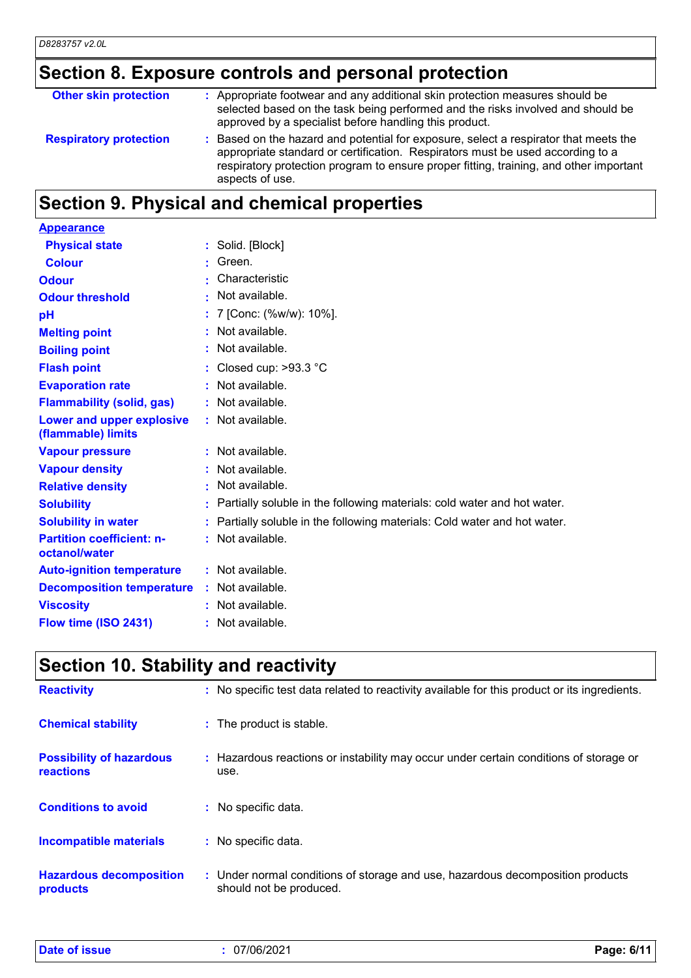# **Section 8. Exposure controls and personal protection**

| <b>Other skin protection</b>  | : Appropriate footwear and any additional skin protection measures should be<br>selected based on the task being performed and the risks involved and should be<br>approved by a specialist before handling this product.                                                           |
|-------------------------------|-------------------------------------------------------------------------------------------------------------------------------------------------------------------------------------------------------------------------------------------------------------------------------------|
| <b>Respiratory protection</b> | : Based on the hazard and potential for exposure, select a respirator that meets the<br>appropriate standard or certification. Respirators must be used according to a<br>respiratory protection program to ensure proper fitting, training, and other important<br>aspects of use. |

# **Section 9. Physical and chemical properties**

| <b>Appearance</b>                                 |                                                                           |
|---------------------------------------------------|---------------------------------------------------------------------------|
| <b>Physical state</b>                             | : Solid. [Block]                                                          |
| <b>Colour</b>                                     | Green.                                                                    |
| <b>Odour</b>                                      | Characteristic                                                            |
| <b>Odour threshold</b>                            | • Not available.                                                          |
| pH                                                | : 7 [Conc: (%w/w): 10%].                                                  |
| <b>Melting point</b>                              | : Not available.                                                          |
| <b>Boiling point</b>                              | : Not available.                                                          |
| <b>Flash point</b>                                | : Closed cup: $>93.3$ °C                                                  |
| <b>Evaporation rate</b>                           | : Not available.                                                          |
| <b>Flammability (solid, gas)</b>                  | : Not available.                                                          |
| Lower and upper explosive<br>(flammable) limits   | : Not available.                                                          |
| <b>Vapour pressure</b>                            | : Not available.                                                          |
| <b>Vapour density</b>                             | : Not available.                                                          |
| <b>Relative density</b>                           | : Not available.                                                          |
| <b>Solubility</b>                                 | : Partially soluble in the following materials: cold water and hot water. |
| <b>Solubility in water</b>                        | : Partially soluble in the following materials: Cold water and hot water. |
| <b>Partition coefficient: n-</b><br>octanol/water | : Not available.                                                          |
| <b>Auto-ignition temperature</b>                  | : Not available.                                                          |
| <b>Decomposition temperature</b>                  | : Not available.                                                          |
| <b>Viscosity</b>                                  | : Not available.                                                          |
| Flow time (ISO 2431)                              | : Not available.                                                          |
|                                                   |                                                                           |

# **Section 10. Stability and reactivity**

| <b>Reactivity</b>                                   | : No specific test data related to reactivity available for this product or its ingredients.              |
|-----------------------------------------------------|-----------------------------------------------------------------------------------------------------------|
| <b>Chemical stability</b>                           | : The product is stable.                                                                                  |
| <b>Possibility of hazardous</b><br><b>reactions</b> | : Hazardous reactions or instability may occur under certain conditions of storage or<br>use.             |
| <b>Conditions to avoid</b>                          | : No specific data.                                                                                       |
| Incompatible materials                              | : No specific data.                                                                                       |
| <b>Hazardous decomposition</b><br>products          | : Under normal conditions of storage and use, hazardous decomposition products<br>should not be produced. |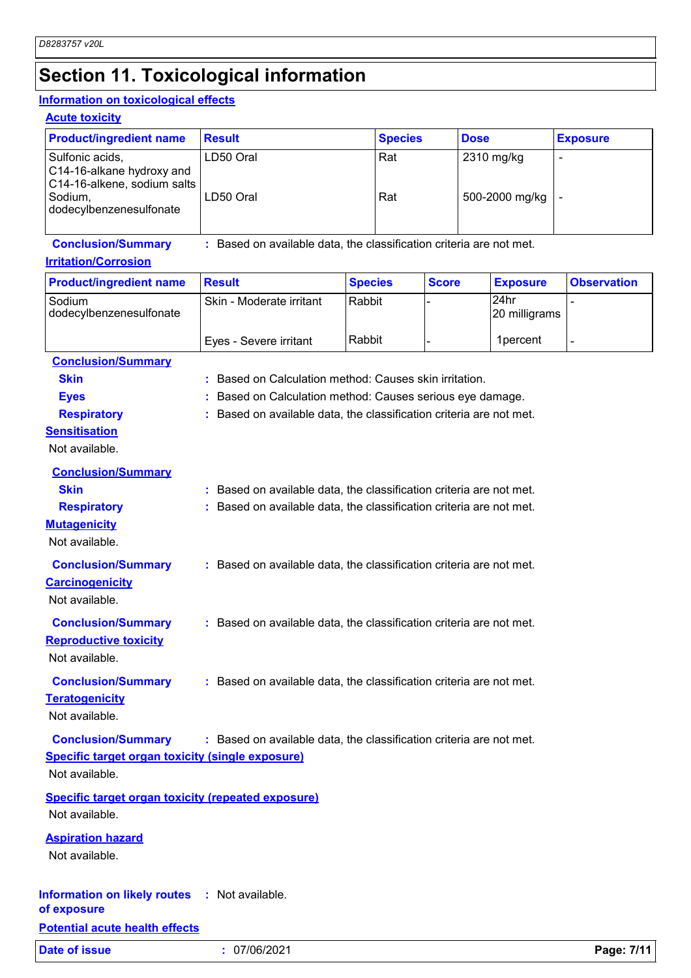# **Section 11. Toxicological information**

### **Information on toxicological effects**

|  | <b>Acute toxicity</b> |  |  |
|--|-----------------------|--|--|
|  |                       |  |  |

| <b>Product/ingredient name</b>                                              | <b>Result</b> | <b>Species</b> | <b>Dose</b>    | <b>Exposure</b> |
|-----------------------------------------------------------------------------|---------------|----------------|----------------|-----------------|
| Sulfonic acids,<br>C14-16-alkane hydroxy and<br>C14-16-alkene, sodium salts | LD50 Oral     | Rat            | 2310 mg/kg     |                 |
| Sodium,<br>dodecylbenzenesulfonate                                          | LD50 Oral     | Rat            | 500-2000 mg/kg |                 |

**Conclusion/Summary :** Based on available data, the classification criteria are not met.

### **Irritation/Corrosion**

| <b>Product/ingredient name</b>    | <b>Result</b>            | <b>Species</b> | <b>Score</b> | <b>Exposure</b>        | <b>Observation</b> |
|-----------------------------------|--------------------------|----------------|--------------|------------------------|--------------------|
| Sodium<br>dodecylbenzenesulfonate | Skin - Moderate irritant | l Rabbit       |              | l24hr<br>20 milligrams |                    |
|                                   | Eyes - Severe irritant   | l Rabbit       |              | 1 percent              |                    |

| <b>Conclusion/Summary</b>                                 |    |                                                                     |
|-----------------------------------------------------------|----|---------------------------------------------------------------------|
| <b>Skin</b>                                               |    | : Based on Calculation method: Causes skin irritation.              |
| <b>Eyes</b>                                               | ÷. | Based on Calculation method: Causes serious eye damage.             |
| <b>Respiratory</b>                                        |    | : Based on available data, the classification criteria are not met. |
| <b>Sensitisation</b>                                      |    |                                                                     |
| Not available.                                            |    |                                                                     |
| <b>Conclusion/Summary</b>                                 |    |                                                                     |
| <b>Skin</b>                                               |    | : Based on available data, the classification criteria are not met. |
| <b>Respiratory</b>                                        |    | : Based on available data, the classification criteria are not met. |
| <b>Mutagenicity</b>                                       |    |                                                                     |
| Not available.                                            |    |                                                                     |
| <b>Conclusion/Summary</b>                                 |    | : Based on available data, the classification criteria are not met. |
| <b>Carcinogenicity</b>                                    |    |                                                                     |
| Not available.                                            |    |                                                                     |
| <b>Conclusion/Summary</b>                                 |    | : Based on available data, the classification criteria are not met. |
| <b>Reproductive toxicity</b>                              |    |                                                                     |
| Not available.                                            |    |                                                                     |
|                                                           |    |                                                                     |
| <b>Conclusion/Summary</b>                                 |    | : Based on available data, the classification criteria are not met. |
| <b>Teratogenicity</b>                                     |    |                                                                     |
| Not available.                                            |    |                                                                     |
| <b>Conclusion/Summary</b>                                 |    | : Based on available data, the classification criteria are not met. |
| <b>Specific target organ toxicity (single exposure)</b>   |    |                                                                     |
| Not available.                                            |    |                                                                     |
| <b>Specific target organ toxicity (repeated exposure)</b> |    |                                                                     |
| Not available.                                            |    |                                                                     |
| <b>Aspiration hazard</b>                                  |    |                                                                     |
| Not available.                                            |    |                                                                     |
|                                                           |    |                                                                     |
| Information on likely routes : Not available.             |    |                                                                     |
| of exposure                                               |    |                                                                     |
| <b>Potential acute health effects</b>                     |    |                                                                     |

**Date of issue :** 07/06/2021 **Page: 7/11**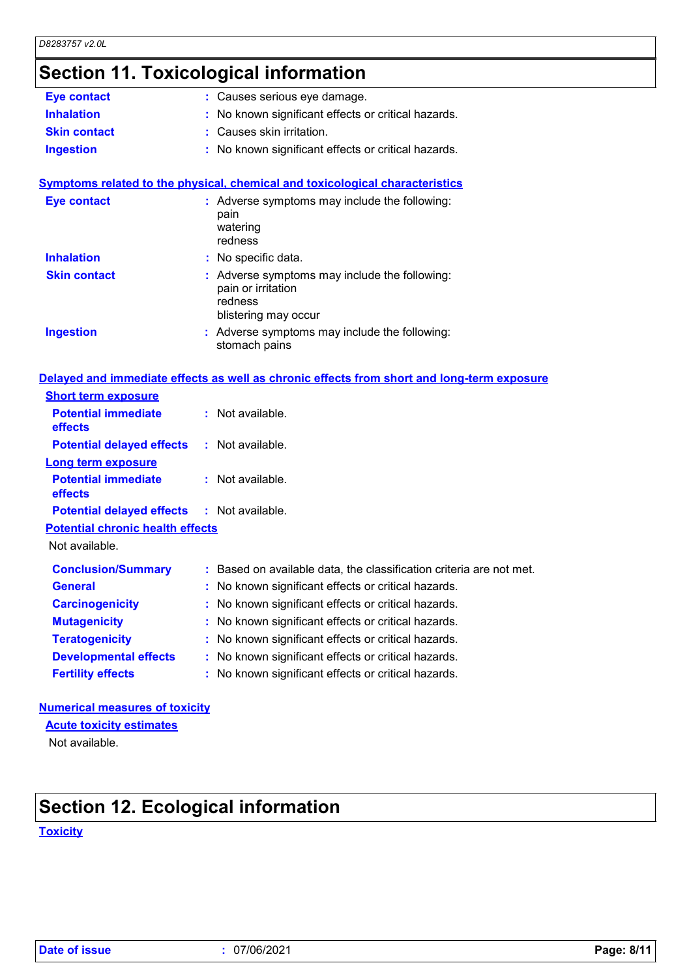# **Section 11. Toxicological information**

| <b>Eye contact</b>                      | : Causes serious eye damage.                                                                           |
|-----------------------------------------|--------------------------------------------------------------------------------------------------------|
| <b>Inhalation</b>                       | : No known significant effects or critical hazards.                                                    |
| <b>Skin contact</b>                     | : Causes skin irritation.                                                                              |
| <b>Ingestion</b>                        | : No known significant effects or critical hazards.                                                    |
|                                         | <b>Symptoms related to the physical, chemical and toxicological characteristics</b>                    |
| <b>Eye contact</b>                      | : Adverse symptoms may include the following:<br>pain<br>watering<br>redness                           |
| <b>Inhalation</b>                       | : No specific data.                                                                                    |
| <b>Skin contact</b>                     | : Adverse symptoms may include the following:<br>pain or irritation<br>redness<br>blistering may occur |
| <b>Ingestion</b>                        | : Adverse symptoms may include the following:<br>stomach pains                                         |
|                                         | Delayed and immediate effects as well as chronic effects from short and long-term exposure             |
| <b>Short term exposure</b>              |                                                                                                        |
| <b>Potential immediate</b><br>effects   | : Not available.                                                                                       |
| <b>Potential delayed effects</b>        | : Not available.                                                                                       |
| <b>Long term exposure</b>               |                                                                                                        |
| <b>Potential immediate</b><br>effects   | : Not available.                                                                                       |
| <b>Potential delayed effects</b>        | : Not available.                                                                                       |
| <b>Potential chronic health effects</b> |                                                                                                        |
| Not available.                          |                                                                                                        |
| <b>Conclusion/Summary</b>               | : Based on available data, the classification criteria are not met.                                    |
| <b>General</b>                          | : No known significant effects or critical hazards.                                                    |
| <b>Carcinogenicity</b>                  | : No known significant effects or critical hazards.                                                    |
| <b>Mutagenicity</b>                     | No known significant effects or critical hazards.                                                      |
| <b>Teratogenicity</b>                   | No known significant effects or critical hazards.<br>÷                                                 |
| <b>Developmental effects</b>            | : No known significant effects or critical hazards.                                                    |
| <b>Fertility effects</b>                | : No known significant effects or critical hazards.                                                    |
|                                         |                                                                                                        |

### **Numerical measures of toxicity**

**Acute toxicity estimates**

Not available.

# **Section 12. Ecological information**

**Toxicity**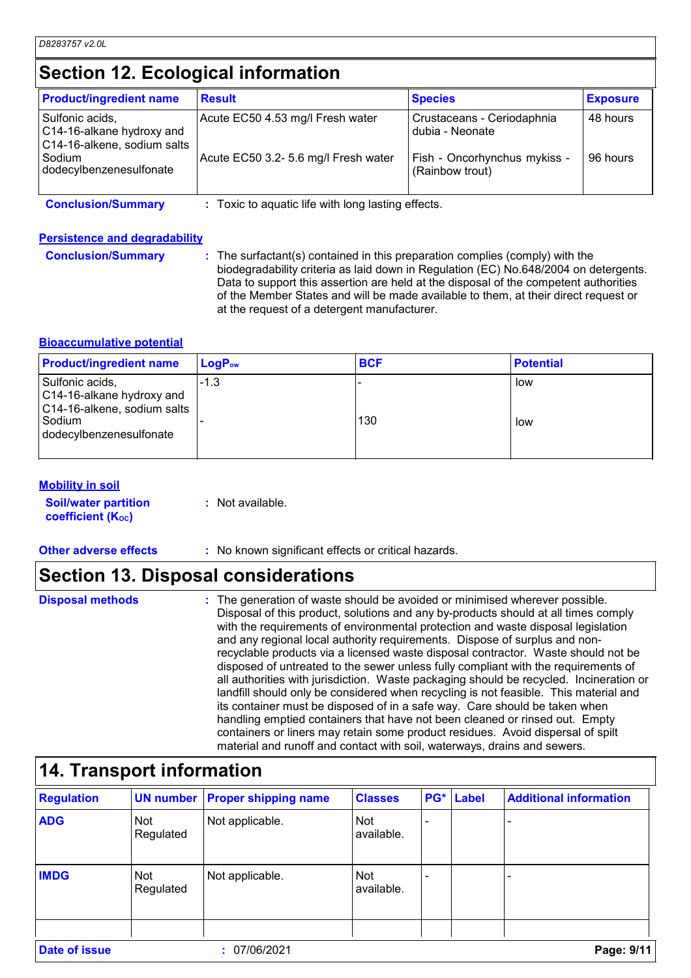### **Section 12. Ecological information**

| <b>Product/ingredient name</b>                                              | <b>Result</b>                                    | <b>Species</b>                                  | <b>Exposure</b> |
|-----------------------------------------------------------------------------|--------------------------------------------------|-------------------------------------------------|-----------------|
| Sulfonic acids,<br>C14-16-alkane hydroxy and<br>C14-16-alkene, sodium salts | Acute EC50 4.53 mg/l Fresh water                 | Crustaceans - Ceriodaphnia<br>dubia - Neonate   | 48 hours        |
| Sodium<br>dodecylbenzenesulfonate                                           | Acute EC50 3.2- 5.6 mg/l Fresh water             | Fish - Oncorhynchus mykiss -<br>(Rainbow trout) | 96 hours        |
| <b>Conclusion/Summary</b>                                                   | Toxic to aquatic life with long lasting effects. |                                                 |                 |

### **Persistence and degradability**

**Conclusion/Summary :** The surfactant(s) contained in this preparation complies (comply) with the biodegradability criteria as laid down in Regulation (EC) No.648/2004 on detergents. Data to support this assertion are held at the disposal of the competent authorities of the Member States and will be made available to them, at their direct request or at the request of a detergent manufacturer.

### **Bioaccumulative potential**

| <b>Product/ingredient name</b>                                              | $LogP_{ow}$ | <b>BCF</b> | <b>Potential</b> |
|-----------------------------------------------------------------------------|-------------|------------|------------------|
| Sulfonic acids,<br>C14-16-alkane hydroxy and<br>C14-16-alkene, sodium salts | $-1.3$      |            | low              |
| Sodium<br>dodecylbenzenesulfonate                                           |             | 130        | low              |

### **Mobility in soil**

| <b>Soil/water partition</b> | : Not available. |
|-----------------------------|------------------|
| <b>coefficient (Koc)</b>    |                  |

**Other adverse effects :** No known significant effects or critical hazards.

### **Section 13. Disposal considerations**

- **Disposal methods :**
- The generation of waste should be avoided or minimised wherever possible. Disposal of this product, solutions and any by-products should at all times comply with the requirements of environmental protection and waste disposal legislation and any regional local authority requirements. Dispose of surplus and nonrecyclable products via a licensed waste disposal contractor. Waste should not be disposed of untreated to the sewer unless fully compliant with the requirements of all authorities with jurisdiction. Waste packaging should be recycled. Incineration or landfill should only be considered when recycling is not feasible. This material and its container must be disposed of in a safe way. Care should be taken when handling emptied containers that have not been cleaned or rinsed out. Empty containers or liners may retain some product residues. Avoid dispersal of spilt material and runoff and contact with soil, waterways, drains and sewers. **14. Transport information**<br> **14. Transport information**<br> **14. Transport information**<br> **14. Transport information**<br> **14. Transport information**

| <b>Regulation</b>    |                         | <b>UN number Proper shipping name</b> | <b>Classes</b>           | PG* | Label | <b>Additional information</b> |
|----------------------|-------------------------|---------------------------------------|--------------------------|-----|-------|-------------------------------|
| <b>ADG</b>           | <b>Not</b><br>Regulated | Not applicable.                       | <b>Not</b><br>available. |     |       |                               |
| <b>IMDG</b>          | <b>Not</b><br>Regulated | Not applicable.                       | <b>Not</b><br>available. |     |       |                               |
|                      |                         |                                       |                          |     |       |                               |
| <b>Date of issue</b> |                         | : 07/06/2021                          |                          |     |       | Page: 9/11                    |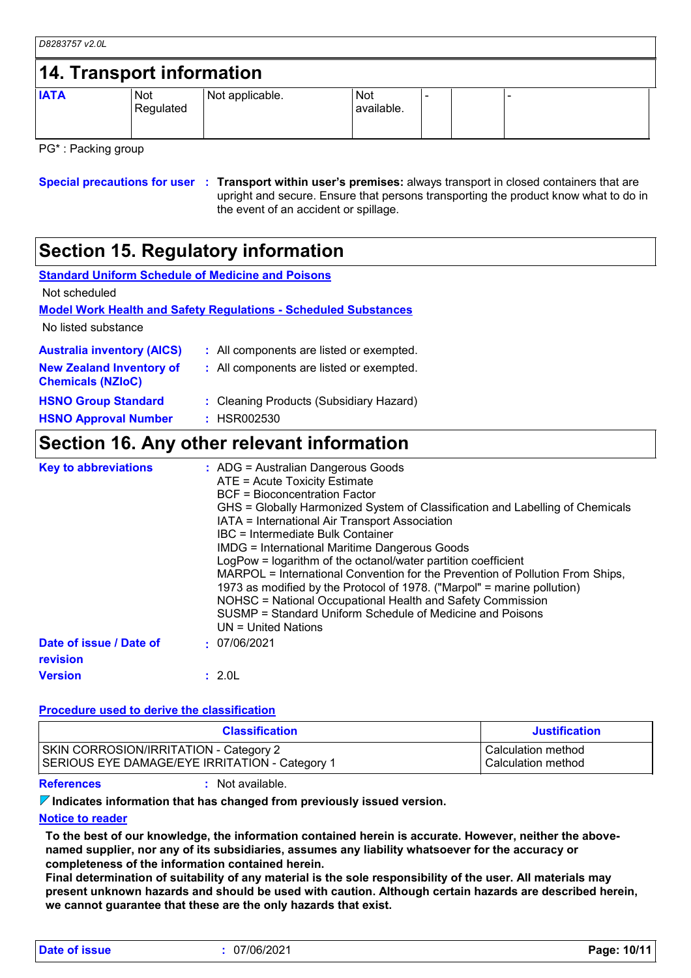| D8283757 v2.0L |                           |                 |                   |  |  |
|----------------|---------------------------|-----------------|-------------------|--|--|
|                | 14. Transport information |                 |                   |  |  |
| <b>IATA</b>    | Not<br>Regulated          | Not applicable. | Not<br>available. |  |  |

PG\* : Packing group

**Special precautions for user Transport within user's premises:** always transport in closed containers that are **:** upright and secure. Ensure that persons transporting the product know what to do in the event of an accident or spillage.

### **Section 15. Regulatory information**

| <b>Standard Uniform Schedule of Medicine and Poisons</b>    |                                                                                                                                                                                                                                                                                                                                                                                                                                                                                                                                                                                                                                                                                                                                |
|-------------------------------------------------------------|--------------------------------------------------------------------------------------------------------------------------------------------------------------------------------------------------------------------------------------------------------------------------------------------------------------------------------------------------------------------------------------------------------------------------------------------------------------------------------------------------------------------------------------------------------------------------------------------------------------------------------------------------------------------------------------------------------------------------------|
| Not scheduled                                               |                                                                                                                                                                                                                                                                                                                                                                                                                                                                                                                                                                                                                                                                                                                                |
|                                                             | <b>Model Work Health and Safety Regulations - Scheduled Substances</b>                                                                                                                                                                                                                                                                                                                                                                                                                                                                                                                                                                                                                                                         |
| No listed substance                                         |                                                                                                                                                                                                                                                                                                                                                                                                                                                                                                                                                                                                                                                                                                                                |
| <b>Australia inventory (AICS)</b>                           | : All components are listed or exempted.                                                                                                                                                                                                                                                                                                                                                                                                                                                                                                                                                                                                                                                                                       |
| <b>New Zealand Inventory of</b><br><b>Chemicals (NZIoC)</b> | : All components are listed or exempted.                                                                                                                                                                                                                                                                                                                                                                                                                                                                                                                                                                                                                                                                                       |
| <b>HSNO Group Standard</b>                                  | : Cleaning Products (Subsidiary Hazard)                                                                                                                                                                                                                                                                                                                                                                                                                                                                                                                                                                                                                                                                                        |
| <b>HSNO Approval Number</b>                                 | : HSR002530                                                                                                                                                                                                                                                                                                                                                                                                                                                                                                                                                                                                                                                                                                                    |
|                                                             | Section 16. Any other relevant information                                                                                                                                                                                                                                                                                                                                                                                                                                                                                                                                                                                                                                                                                     |
| <b>Key to abbreviations</b>                                 | $:$ ADG = Australian Dangerous Goods<br>ATE = Acute Toxicity Estimate<br><b>BCF</b> = Bioconcentration Factor<br>GHS = Globally Harmonized System of Classification and Labelling of Chemicals<br>IATA = International Air Transport Association<br>IBC = Intermediate Bulk Container<br><b>IMDG = International Maritime Dangerous Goods</b><br>LogPow = logarithm of the octanol/water partition coefficient<br>MARPOL = International Convention for the Prevention of Pollution From Ships,<br>1973 as modified by the Protocol of 1978. ("Marpol" = marine pollution)<br>NOHSC = National Occupational Health and Safety Commission<br>SUSMP = Standard Uniform Schedule of Medicine and Poisons<br>$UN = United Nations$ |

**Date of issue / Date of revision Version :** 07/06/2021 **:** 2.0L

#### **Procedure used to derive the classification**

| <b>Classification</b>                          | <b>Justification</b> |
|------------------------------------------------|----------------------|
| <b>SKIN CORROSION/IRRITATION - Category 2</b>  | Calculation method   |
| SERIOUS EYE DAMAGE/EYE IRRITATION - Category 1 | Calculation method   |

**References :** Not available.

**Indicates information that has changed from previously issued version.**

#### **Notice to reader**

**To the best of our knowledge, the information contained herein is accurate. However, neither the abovenamed supplier, nor any of its subsidiaries, assumes any liability whatsoever for the accuracy or completeness of the information contained herein.**

**Final determination of suitability of any material is the sole responsibility of the user. All materials may present unknown hazards and should be used with caution. Although certain hazards are described herein, we cannot guarantee that these are the only hazards that exist.**

**Date of issue :** 07/06/2021 **Page: 10/11**